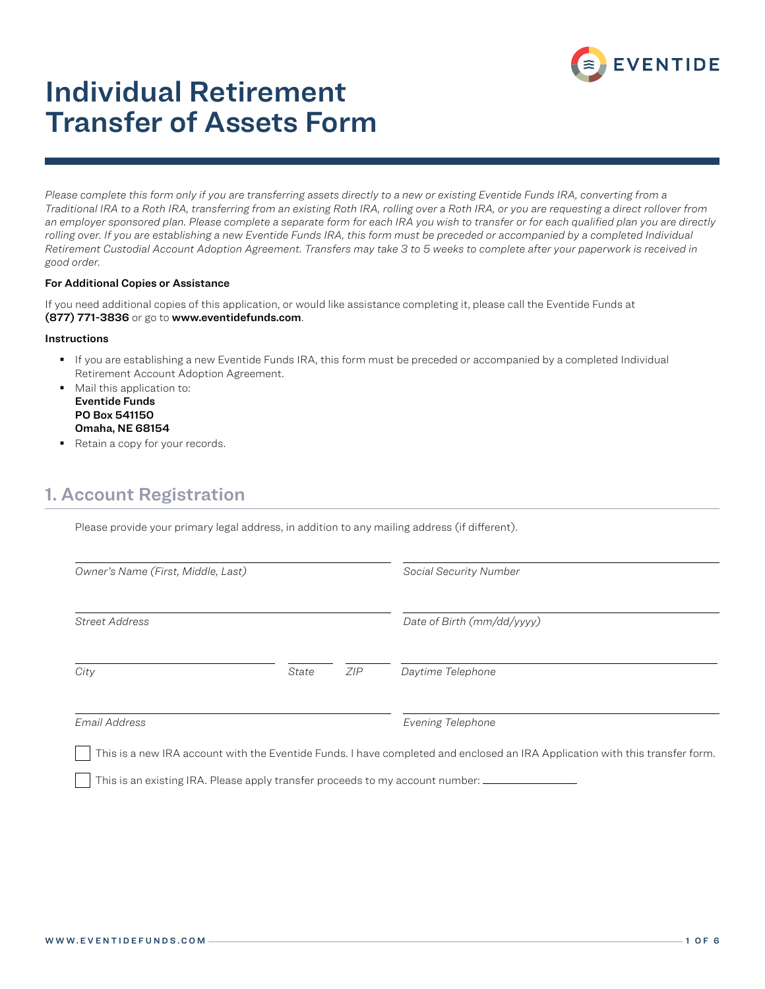

# Individual Retirement Transfer of Assets Form

*Please complete this form only if you are transferring assets directly to a new or existing Eventide Funds IRA, converting from a Traditional IRA to a Roth IRA, transferring from an existing Roth IRA, rolling over a Roth IRA, or you are requesting a direct rollover from an employer sponsored plan. Please complete a separate form for each IRA you wish to transfer or for each qualified plan you are directly*  rolling over. If you are establishing a new Eventide Funds IRA, this form must be preceded or accompanied by a completed Individual *Retirement Custodial Account Adoption Agreement. Transfers may take 3 to 5 weeks to complete after your paperwork is received in good order.*

#### For Additional Copies or Assistance

If you need additional copies of this application, or would like assistance completing it, please call the Eventide Funds at (877) 771-3836 or go to www.eventidefunds.com.

#### **Instructions**

- If you are establishing a new Eventide Funds IRA, this form must be preceded or accompanied by a completed Individual Retirement Account Adoption Agreement.
- **Mail this application to:** Eventide Funds PO Box 541150 Omaha, NE 68154
- Retain a copy for your records.

### 1. Account Registration

Please provide your primary legal address, in addition to any mailing address (if different).

| Owner's Name (First, Middle, Last) |       |     | Social Security Number                                                                                                       |  |
|------------------------------------|-------|-----|------------------------------------------------------------------------------------------------------------------------------|--|
| <b>Street Address</b>              |       |     | Date of Birth (mm/dd/yyyy)                                                                                                   |  |
| City                               | State | ZIP | Daytime Telephone                                                                                                            |  |
| Email Address                      |       |     | Evening Telephone                                                                                                            |  |
|                                    |       |     | This is a new IRA account with the Eventide Funds. I have completed and enclosed an IRA Application with this transfer form. |  |

This is an existing IRA. Please apply transfer proceeds to my account number:  $\perp$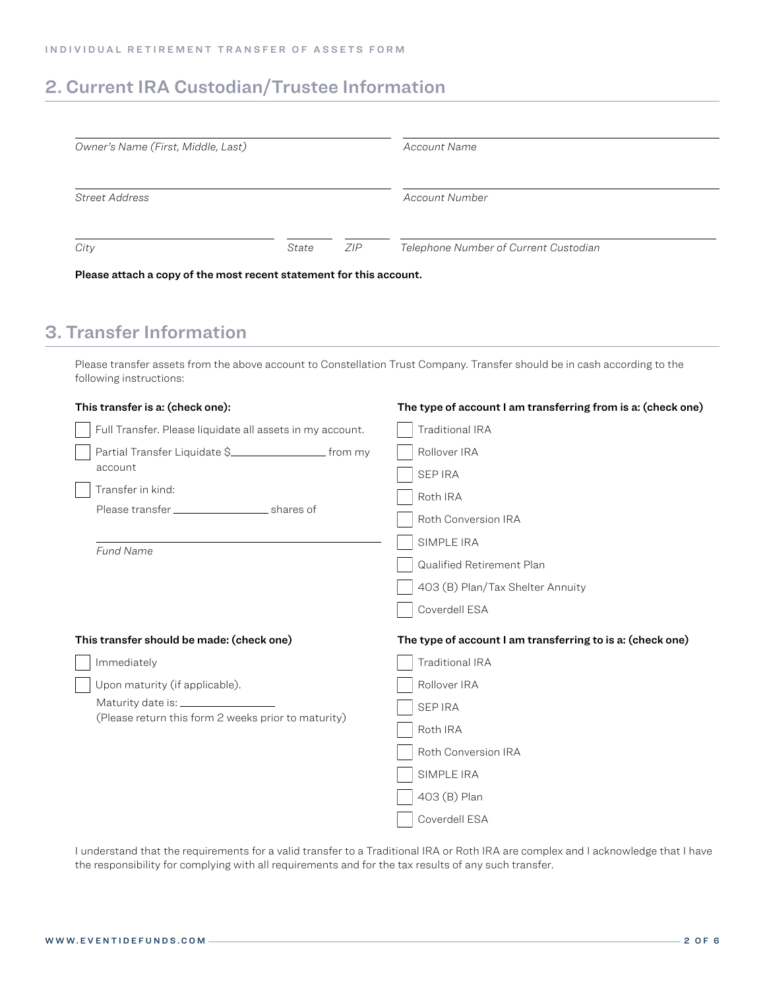## 2. Current IRA Custodian/Trustee Information

| Owner's Name (First, Middle, Last) |       |     | Account Name                          |
|------------------------------------|-------|-----|---------------------------------------|
| Street Address                     |       |     | Account Number                        |
| City                               | State | ZIP | Telephone Number of Current Custodian |

Please attach a copy of the most recent statement for this account.

## 3. Transfer Information

Please transfer assets from the above account to Constellation Trust Company. Transfer should be in cash according to the following instructions:

| This transfer is a: (check one):                          | The type of account I am transferring from is a: (check one) |  |
|-----------------------------------------------------------|--------------------------------------------------------------|--|
| Full Transfer. Please liquidate all assets in my account. | Traditional IRA                                              |  |
|                                                           | Rollover IRA                                                 |  |
| account                                                   | <b>SEP IRA</b>                                               |  |
| Transfer in kind:                                         | Roth IRA                                                     |  |
|                                                           | Roth Conversion IRA                                          |  |
|                                                           | SIMPLE IRA                                                   |  |
| <b>Fund Name</b>                                          | Qualified Retirement Plan                                    |  |
|                                                           | 403 (B) Plan/Tax Shelter Annuity                             |  |
|                                                           | Coverdell ESA                                                |  |
| This transfer should be made: (check one)                 | The type of account I am transferring to is a: (check one)   |  |
| Immediately                                               | Traditional IRA                                              |  |
| Upon maturity (if applicable).                            | Rollover IRA                                                 |  |
|                                                           | <b>SEP IRA</b>                                               |  |
| (Please return this form 2 weeks prior to maturity)       | Roth IRA                                                     |  |
|                                                           | Roth Conversion IRA                                          |  |
|                                                           | SIMPLE IRA                                                   |  |
|                                                           | 403 (B) Plan                                                 |  |
|                                                           | Coverdell ESA                                                |  |

I understand that the requirements for a valid transfer to a Traditional IRA or Roth IRA are complex and I acknowledge that I have the responsibility for complying with all requirements and for the tax results of any such transfer.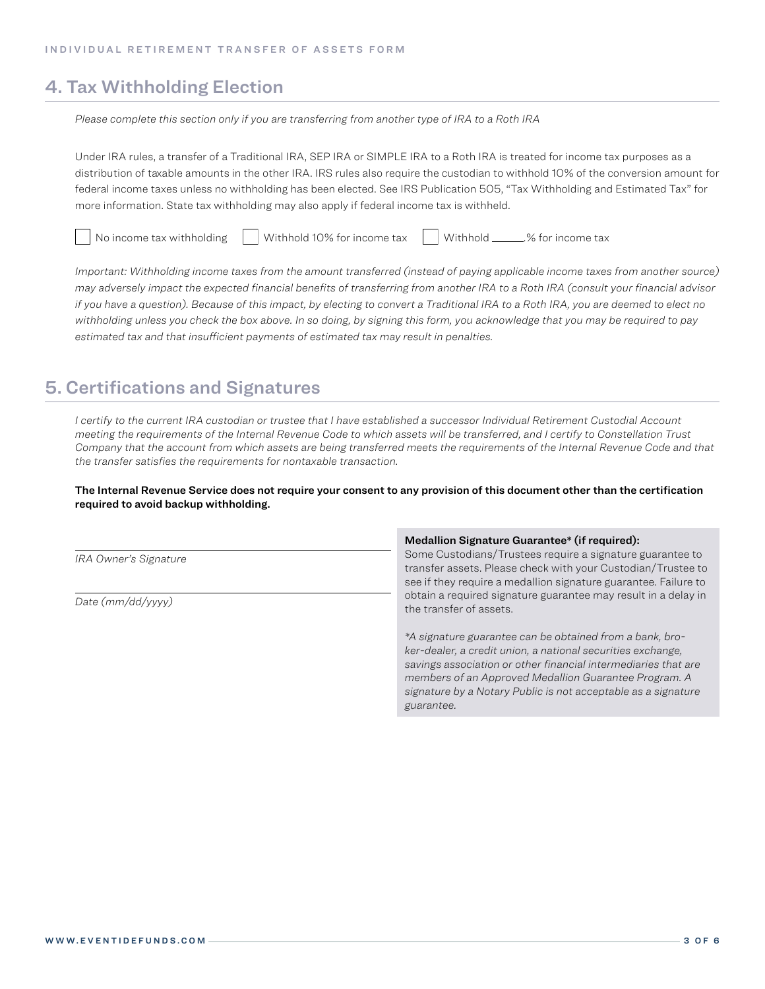### 4. Tax Withholding Election

*Please complete this section only if you are transferring from another type of IRA to a Roth IRA*

Under IRA rules, a transfer of a Traditional IRA, SEP IRA or SIMPLE IRA to a Roth IRA is treated for income tax purposes as a distribution of taxable amounts in the other IRA. IRS rules also require the custodian to withhold 10% of the conversion amount for federal income taxes unless no withholding has been elected. See IRS Publication 505, "Tax Withholding and Estimated Tax" for more information. State tax withholding may also apply if federal income tax is withheld.

No income tax withholding  $\parallel$  Withhold 10% for income tax  $\parallel$  Withhold 20% for income tax

*Important: Withholding income taxes from the amount transferred (instead of paying applicable income taxes from another source) may adversely impact the expected financial benefits of transferring from another IRA to a Roth IRA (consult your financial advisor if you have a question). Because of this impact, by electing to convert a Traditional IRA to a Roth IRA, you are deemed to elect no withholding unless you check the box above. In so doing, by signing this form, you acknowledge that you may be required to pay estimated tax and that insufficient payments of estimated tax may result in penalties.*

### 5. Certifications and Signatures

*I certify to the current IRA custodian or trustee that I have established a successor Individual Retirement Custodial Account meeting the requirements of the Internal Revenue Code to which assets will be transferred, and I certify to Constellation Trust Company that the account from which assets are being transferred meets the requirements of the Internal Revenue Code and that the transfer satisfies the requirements for nontaxable transaction.* 

The Internal Revenue Service does not require your consent to any provision of this document other than the certification required to avoid backup withholding.

|                       | Medallion Signature Guarantee* (if required):                                                                                                                                                                                                                                                                                     |  |  |
|-----------------------|-----------------------------------------------------------------------------------------------------------------------------------------------------------------------------------------------------------------------------------------------------------------------------------------------------------------------------------|--|--|
| IRA Owner's Signature | Some Custodians/Trustees require a signature guarantee to<br>transfer assets. Please check with your Custodian/Trustee to<br>see if they require a medallion signature guarantee. Failure to                                                                                                                                      |  |  |
| Date $(mm/dd/vvvv)$   | obtain a required signature guarantee may result in a delay in<br>the transfer of assets.                                                                                                                                                                                                                                         |  |  |
|                       | *A signature guarantee can be obtained from a bank, bro-<br>ker-dealer, a credit union, a national securities exchange.<br>savings association or other financial intermediaries that are<br>members of an Approved Medallion Guarantee Program. A<br>signature by a Notary Public is not acceptable as a signature<br>guarantee. |  |  |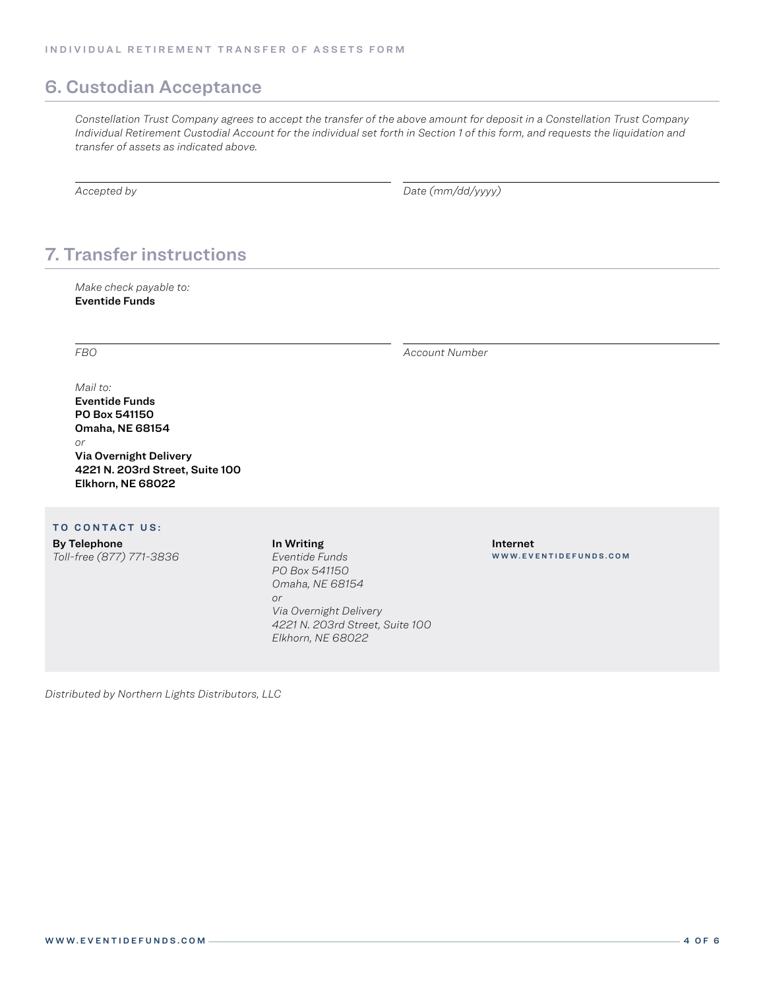### 6. Custodian Acceptance

*Constellation Trust Company agrees to accept the transfer of the above amount for deposit in a Constellation Trust Company Individual Retirement Custodial Account for the individual set forth in Section 1 of this form, and requests the liquidation and transfer of assets as indicated above.*

*Accepted by Date (mm/dd/yyyy)*

## 7. Transfer instructions

*Make check payable to:* Eventide Funds

*FBO Account Number*

#### *Mail to:*

Eventide Funds PO Box 541150 Omaha, NE 68154 *or* Via Overnight Delivery 4221 N. 203rd Street, Suite 100 Elkhorn, NE 68022

#### TO CONTACT US:

By Telephone *Toll-free (877) 771-3836* In Writing *Eventide Funds PO Box 541150 Omaha, NE 68154 or Via Overnight Delivery 4221 N. 203rd Street, Suite 100 Elkhorn, NE 68022*

Internet WWW.EVENTIDEFUNDS.COM

*Distributed by Northern Lights Distributors, LLC*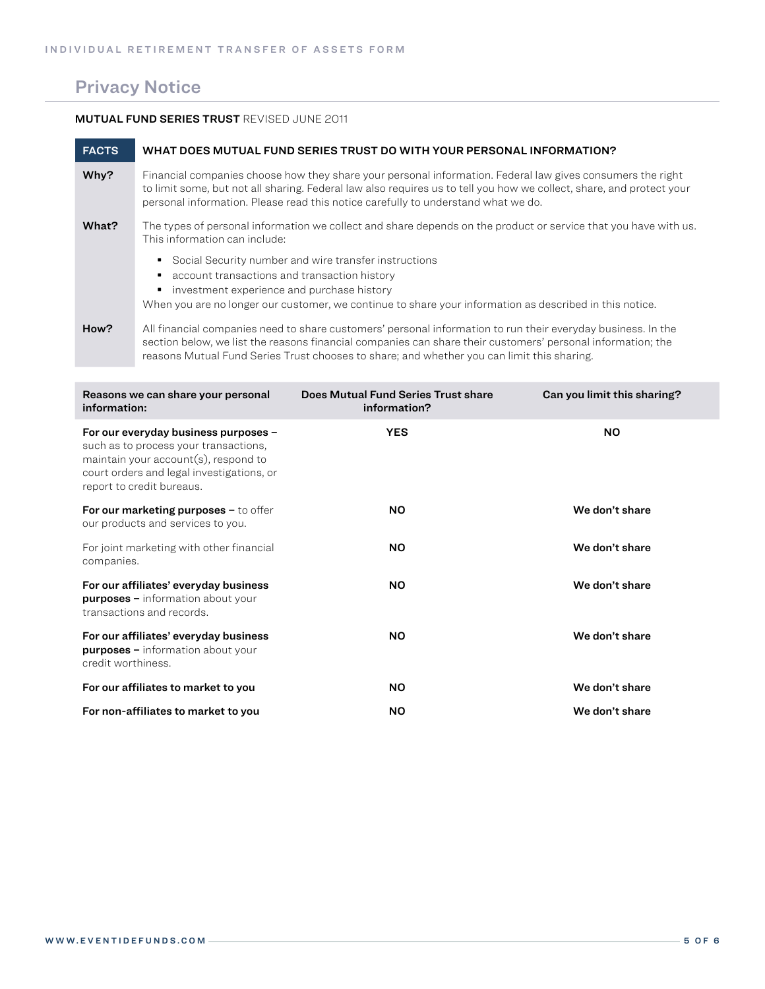## Privacy Notice

#### MUTUAL FUND SERIES TRUST REVISED JUNE 2011

| <b>FACTS</b> | WHAT DOES MUTUAL FUND SERIES TRUST DO WITH YOUR PERSONAL INFORMATION?                                                                                                                                                                                                                                                   |
|--------------|-------------------------------------------------------------------------------------------------------------------------------------------------------------------------------------------------------------------------------------------------------------------------------------------------------------------------|
| Why?         | Financial companies choose how they share your personal information. Federal law gives consumers the right<br>to limit some, but not all sharing. Federal law also requires us to tell you how we collect, share, and protect your<br>personal information. Please read this notice carefully to understand what we do. |
| What?        | The types of personal information we collect and share depends on the product or service that you have with us.<br>This information can include:                                                                                                                                                                        |
|              | Social Security number and wire transfer instructions<br>٠<br>account transactions and transaction history<br>investment experience and purchase history<br>When you are no longer our customer, we continue to share your information as described in this notice.                                                     |
| How?         | All financial companies need to share customers' personal information to run their everyday business. In the<br>section below, we list the reasons financial companies can share their customers' personal information; the                                                                                             |

reasons Mutual Fund Series Trust chooses to share; and whether you can limit this sharing.

| Reasons we can share your personal<br>information:                                                                                                                                                 | Does Mutual Fund Series Trust share<br>information? | Can you limit this sharing? |
|----------------------------------------------------------------------------------------------------------------------------------------------------------------------------------------------------|-----------------------------------------------------|-----------------------------|
| For our everyday business purposes -<br>such as to process your transactions,<br>maintain your $account(s)$ , respond to<br>court orders and legal investigations, or<br>report to credit bureaus. | <b>YES</b>                                          | <b>NO</b>                   |
| For our marketing purposes $-$ to offer<br>our products and services to you.                                                                                                                       | <b>NO</b>                                           | We don't share              |
| For joint marketing with other financial<br>companies.                                                                                                                                             | NO.                                                 | We don't share              |
| For our affiliates' everyday business<br><b>purposes</b> - information about your<br>transactions and records.                                                                                     | <b>NO</b>                                           | We don't share              |
| For our affiliates' everyday business<br><b>purposes</b> – information about your<br>credit worthiness.                                                                                            | <b>NO</b>                                           | We don't share              |
| For our affiliates to market to you                                                                                                                                                                | NO.                                                 | We don't share              |
| For non-affiliates to market to you                                                                                                                                                                | <b>NO</b>                                           | We don't share              |